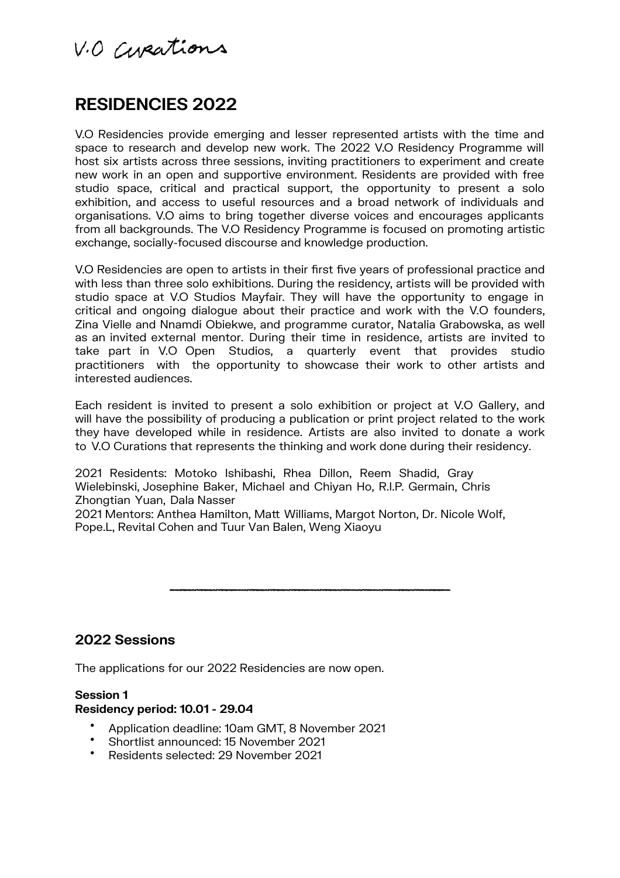V.O Curations

# **RESIDENCIES 2022**

V.O Residencies provide emerging and lesser represented artists with the time and space to research and develop new work. The 2022 V.O Residency Programme will host six artists across three sessions, inviting practitioners to experiment and create new work in an open and supportive environment. Residents are provided with free studio space, critical and practical support, the opportunity to present a solo exhibition, and access to useful resources and a broad network of individuals and organisations. V.O aims to bring together diverse voices and encourages applicants from all backgrounds. The V.O Residency Programme is focused on promoting artistic exchange, socially-focused discourse and knowledge production.

V.O Residencies are open to artists in their first five years of professional practice and with less than three solo exhibitions. During the residency, artists will be provided with studio space at V.O Studios Mayfair. They will have the opportunity to engage in critical and ongoing dialogue about their practice and work with the V.O founders. Zina Vielle and Nnamdi Obiekwe, and programme curator. Natalia Grabowska, as well as an invited external mentor. During their time in residence, artists are invited to take part in V.O Open Studios, a quarterly event that provides studio practitioners with the opportunity to showcase their work to other artists and interested audiences.

Each resident is invited to present a solo exhibition or project at V.O Gallery, and will have the possibility of producing a publication or print project related to the work they have developed while in residence. Artists are also invited to donate a work to V.O Curations that represents the thinking and work done during their residency.

2021 Residents: Motoko Ishibashi, Rhea Dillon, Reem Shadid, Gray Wielebinski, Josephine Baker, Michael and Chiyan Ho, R.I.P. Germain, Chris Zhongtian Yuan, Dala Nasser

2021 Mentors: Anthea Hamilton, Matt Williams, Margot Norton, Dr. Nicole Wolf, Pope.L, Revital Cohen and Tuur Van Balen, Weng Xiaoyu

**2022 Sessions**

The applications for our 2022 Residencies are now open.

#### **Session 1 Residency period: 10.01 - 29.04**

- Application deadline: 10am GMT, 8 November 2021
- Shortlist announced: 15 November 2021
- Residents selected: 29 November 2021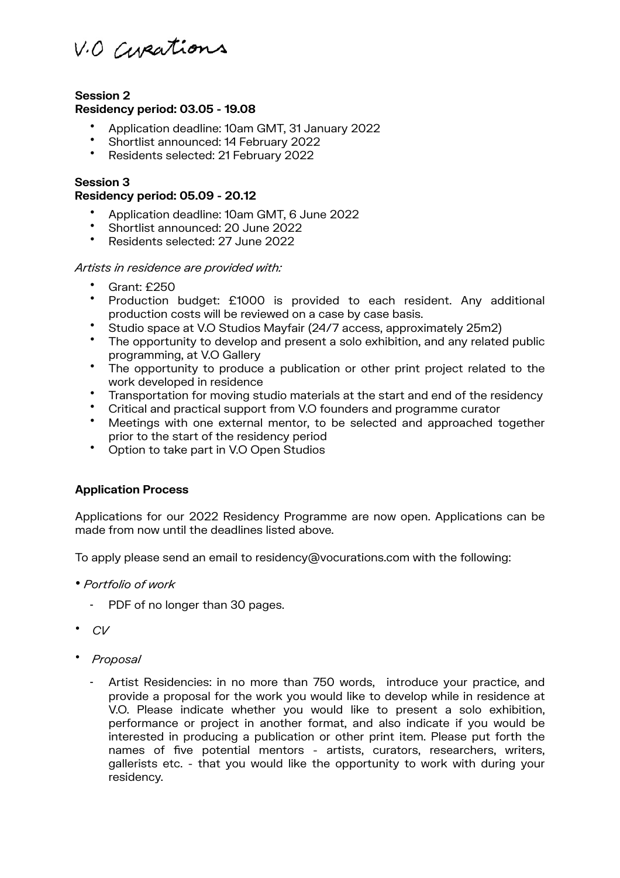V.O Curations

## **Session 2 Residency period: 03.05 - 19.08**

- Application deadline: 10am GMT, 31 January 2022
- Shortlist announced: 14 February 2022<br>• Residents selected: 31 February 2022
- Residents selected: 21 February 2022

## **Session 3**

#### **Residency period: 05.09 - 20.12**

- Application deadline: 10am GMT, 6 June 2022
- Shortlist announced: 20 June 2022
- Residents selected: 27 June 2022

## *Artists in residence are provided with:*

- Grant: £250
- Production budget: £1000 is provided to each resident. Any additional production costs will be reviewed on a case by case basis.
- Studio space at V.O Studios Mayfair (24/7 access, approximately 25m2)
- The opportunity to develop and present a solo exhibition, and any related public programming, at V.O Gallery
- The opportunity to produce a publication or other print project related to the work developed in residence
- Transportation for moving studio materials at the start and end of the residency
- Critical and practical support from V.O founders and programme curator
- Meetings with one external mentor, to be selected and approached together prior to the start of the residency period
- Option to take part in V.O Open Studios

## **Application Process**

Applications for our 2022 Residency Programme are now open. Applications can be made from now until the deadlines listed above.

To apply please send an email to residency@vocurations.com with the following:

- *Portfolio of work*
	- PDF of no longer than 30 pages.
- *CV*
- *Proposal*
	- Artist Residencies: in no more than 750 words, introduce your practice, and provide a proposal for the work you would like to develop while in residence at V.O. Please indicate whether you would like to present a solo exhibition, performance or project in another format, and also indicate if you would be interested in producing a publication or other print item. Please put forth the names of five potential mentors - artists, curators, researchers, writers, gallerists etc. - that you would like the opportunity to work with during your residency.